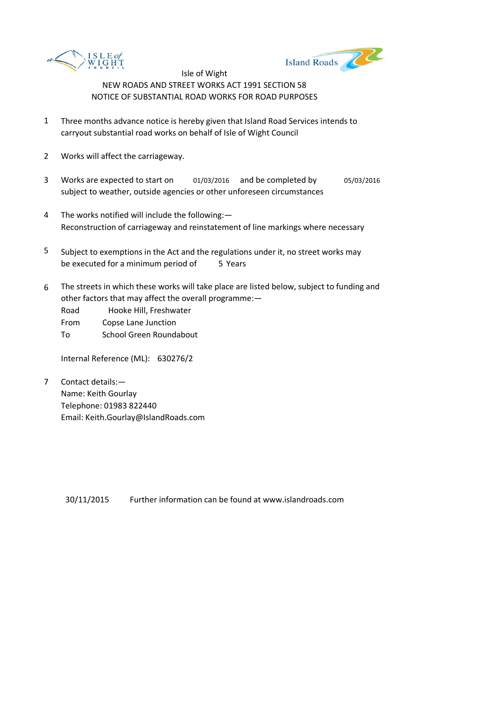



- 1 Three months advance notice is hereby given that Island Road Services intends to carryout substantial road works on behalf of Isle of Wight Council
- 2 Works will affect the carriageway.
- 3 Works are expected to start on 01/03/2016 and be completed by 05/03/2016 subject to weather, outside agencies or other unforeseen circumstances
- 4 The works notified will include the following:— Reconstruction of carriageway and reinstatement of line markings where necessary
- 5 be executed for a minimum period of 5 Years Subject to exemptions in the Act and the regulations under it, no street works may
- 6 The streets in which these works will take place are listed below, subject to funding and other factors that may affect the overall programme:—

Road Hooke Hill, Freshwater

From Copse Lane Junction

To School Green Roundabout

Internal Reference (ML): 630276/2

7 Contact details:— Name: Keith Gourlay Telephone: 01983 822440 Email: Keith.Gourlay@IslandRoads.com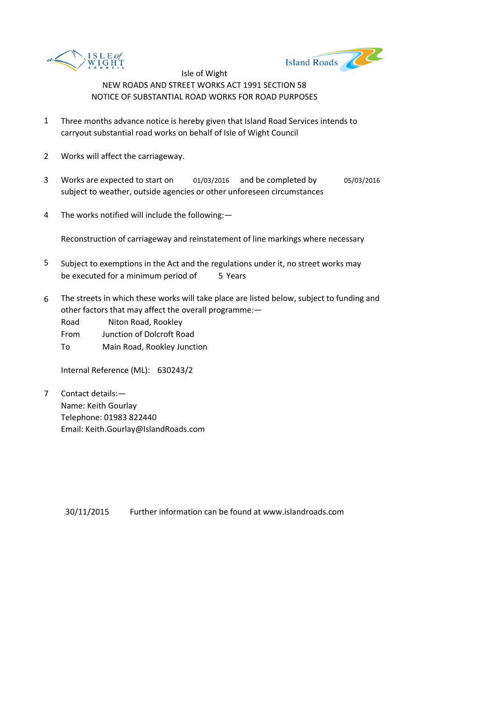



- 1 Three months advance notice is hereby given that Island Road Services intends to carryout substantial road works on behalf of Isle of Wight Council
- 2 Works will affect the carriageway.
- 3 Works are expected to start on 01/03/2016 and be completed by 05/03/2016 subject to weather, outside agencies or other unforeseen circumstances
- 4 The works notified will include the following:—

Reconstruction of carriageway and reinstatement of line markings where necessary

- 5 be executed for a minimum period of 5 Years Subject to exemptions in the Act and the regulations under it, no street works may
- 6 The streets in which these works will take place are listed below, subject to funding and other factors that may affect the overall programme:—
	- Road Niton Road, Rookley
	- From Junction of Dolcroft Road
	- To Main Road, Rookley Junction

Internal Reference (ML): 630243/2

7 Contact details:— Name: Keith Gourlay Telephone: 01983 822440 Email: Keith.Gourlay@IslandRoads.com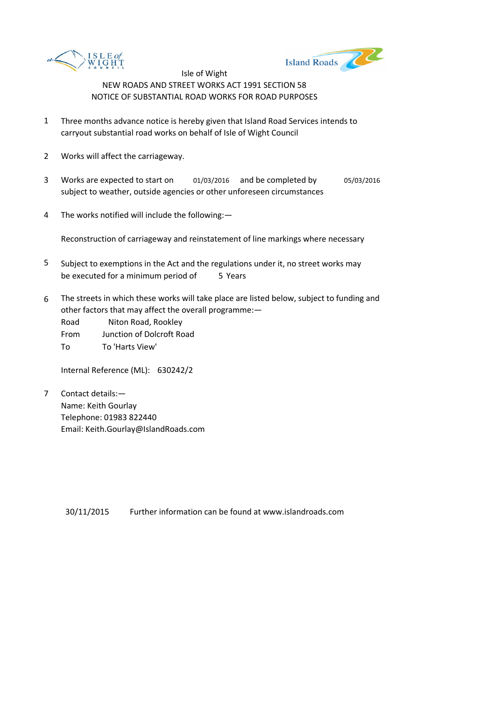



- 1 Three months advance notice is hereby given that Island Road Services intends to carryout substantial road works on behalf of Isle of Wight Council
- 2 Works will affect the carriageway.
- 3 Works are expected to start on 01/03/2016 and be completed by 05/03/2016 subject to weather, outside agencies or other unforeseen circumstances
- 4 The works notified will include the following:—

Reconstruction of carriageway and reinstatement of line markings where necessary

- 5 be executed for a minimum period of 5 Years Subject to exemptions in the Act and the regulations under it, no street works may
- 6 The streets in which these works will take place are listed below, subject to funding and other factors that may affect the overall programme:—
	- Road Niton Road, Rookley
	- From Junction of Dolcroft Road
	- To To 'Harts View'

Internal Reference (ML): 630242/2

7 Contact details:— Name: Keith Gourlay Telephone: 01983 822440 Email: Keith.Gourlay@IslandRoads.com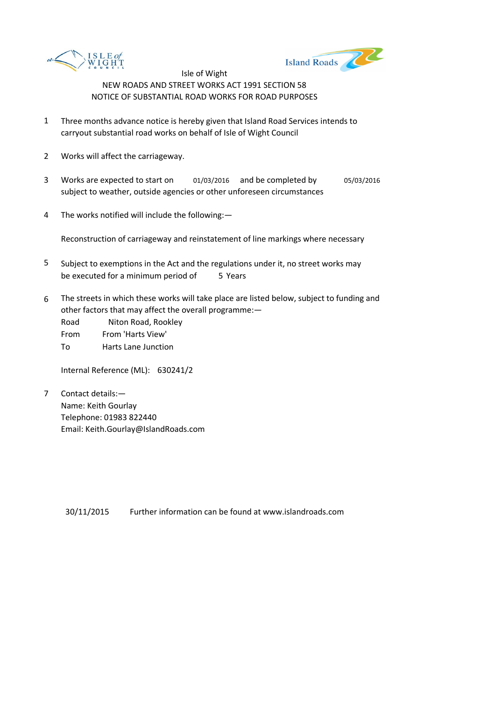



- 1 Three months advance notice is hereby given that Island Road Services intends to carryout substantial road works on behalf of Isle of Wight Council
- 2 Works will affect the carriageway.
- 3 Works are expected to start on 01/03/2016 and be completed by 05/03/2016 subject to weather, outside agencies or other unforeseen circumstances
- 4 The works notified will include the following:—

Reconstruction of carriageway and reinstatement of line markings where necessary

- 5 be executed for a minimum period of 5 Years Subject to exemptions in the Act and the regulations under it, no street works may
- 6 The streets in which these works will take place are listed below, subject to funding and other factors that may affect the overall programme:—

Road Niton Road, Rookley From From 'Harts View'

To Harts Lane Junction

Internal Reference (ML): 630241/2

7 Contact details:— Name: Keith Gourlay Telephone: 01983 822440 Email: Keith.Gourlay@IslandRoads.com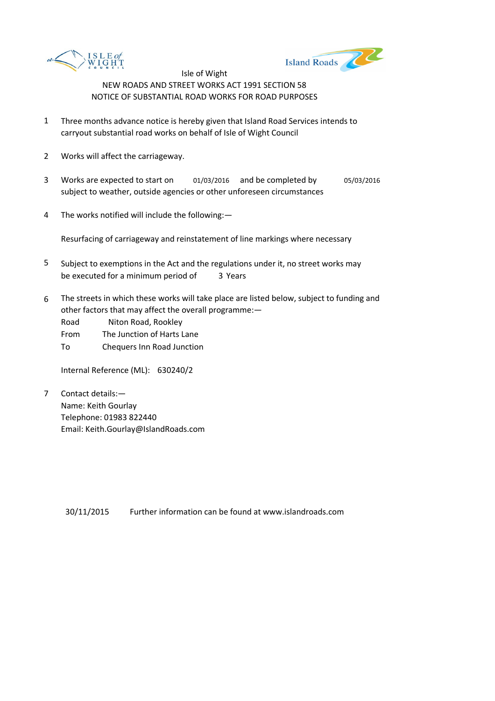



- 1 Three months advance notice is hereby given that Island Road Services intends to carryout substantial road works on behalf of Isle of Wight Council
- 2 Works will affect the carriageway.
- 3 Works are expected to start on 01/03/2016 and be completed by 05/03/2016 subject to weather, outside agencies or other unforeseen circumstances
- 4 The works notified will include the following:—

Resurfacing of carriageway and reinstatement of line markings where necessary

- 5 be executed for a minimum period of 3 Years Subject to exemptions in the Act and the regulations under it, no street works may
- 6 The streets in which these works will take place are listed below, subject to funding and other factors that may affect the overall programme:—
	- Road Niton Road, Rookley
	- From The Junction of Harts Lane
	- To Chequers Inn Road Junction

Internal Reference (ML): 630240/2

7 Contact details:— Name: Keith Gourlay Telephone: 01983 822440 Email: Keith.Gourlay@IslandRoads.com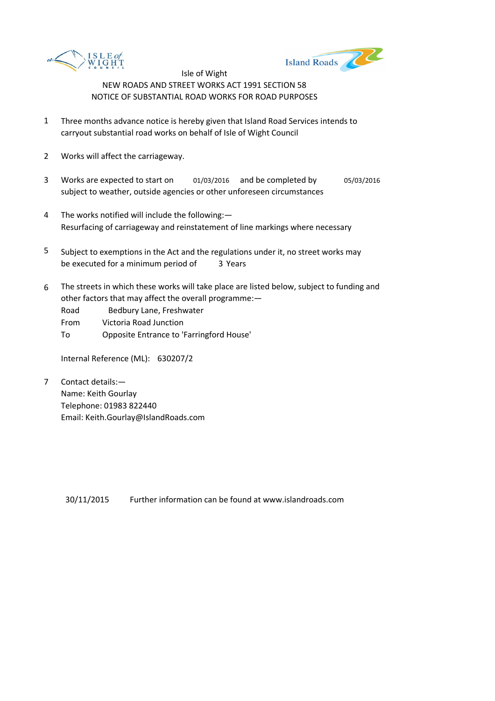



- 1 Three months advance notice is hereby given that Island Road Services intends to carryout substantial road works on behalf of Isle of Wight Council
- 2 Works will affect the carriageway.
- 3 Works are expected to start on 01/03/2016 and be completed by 05/03/2016 subject to weather, outside agencies or other unforeseen circumstances
- 4 The works notified will include the following:— Resurfacing of carriageway and reinstatement of line markings where necessary
- 5 be executed for a minimum period of 3 Years Subject to exemptions in the Act and the regulations under it, no street works may
- 6 The streets in which these works will take place are listed below, subject to funding and other factors that may affect the overall programme:—
	- Road Bedbury Lane, Freshwater
	- From Victoria Road Junction
	- To Opposite Entrance to 'Farringford House'

Internal Reference (ML): 630207/2

7 Contact details:— Name: Keith Gourlay Telephone: 01983 822440 Email: Keith.Gourlay@IslandRoads.com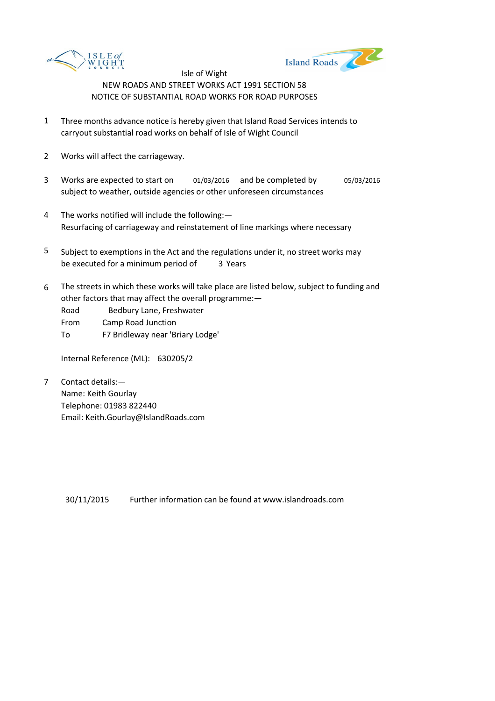



- 1 Three months advance notice is hereby given that Island Road Services intends to carryout substantial road works on behalf of Isle of Wight Council
- 2 Works will affect the carriageway.
- 3 Works are expected to start on 01/03/2016 and be completed by 05/03/2016 subject to weather, outside agencies or other unforeseen circumstances
- 4 The works notified will include the following:— Resurfacing of carriageway and reinstatement of line markings where necessary
- 5 be executed for a minimum period of 3 Years Subject to exemptions in the Act and the regulations under it, no street works may
- 6 The streets in which these works will take place are listed below, subject to funding and other factors that may affect the overall programme:—
	- Road Bedbury Lane, Freshwater
	- From Camp Road Junction
	- To F7 Bridleway near 'Briary Lodge'

Internal Reference (ML): 630205/2

7 Contact details:— Name: Keith Gourlay Telephone: 01983 822440 Email: Keith.Gourlay@IslandRoads.com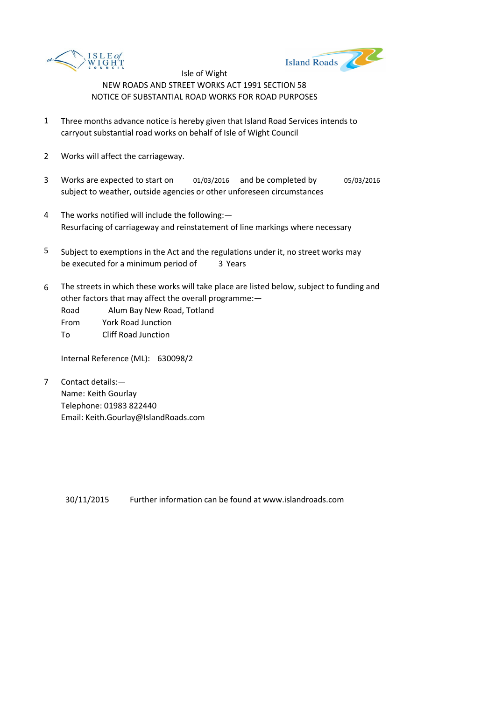



- 1 Three months advance notice is hereby given that Island Road Services intends to carryout substantial road works on behalf of Isle of Wight Council
- 2 Works will affect the carriageway.
- 3 Works are expected to start on 01/03/2016 and be completed by 05/03/2016 subject to weather, outside agencies or other unforeseen circumstances
- 4 The works notified will include the following:— Resurfacing of carriageway and reinstatement of line markings where necessary
- 5 be executed for a minimum period of 3 Years Subject to exemptions in the Act and the regulations under it, no street works may
- 6 The streets in which these works will take place are listed below, subject to funding and other factors that may affect the overall programme:—
	- Road Alum Bay New Road, Totland
	- From York Road Junction
	- To Cliff Road Junction

Internal Reference (ML): 630098/2

7 Contact details:— Name: Keith Gourlay Telephone: 01983 822440 Email: Keith.Gourlay@IslandRoads.com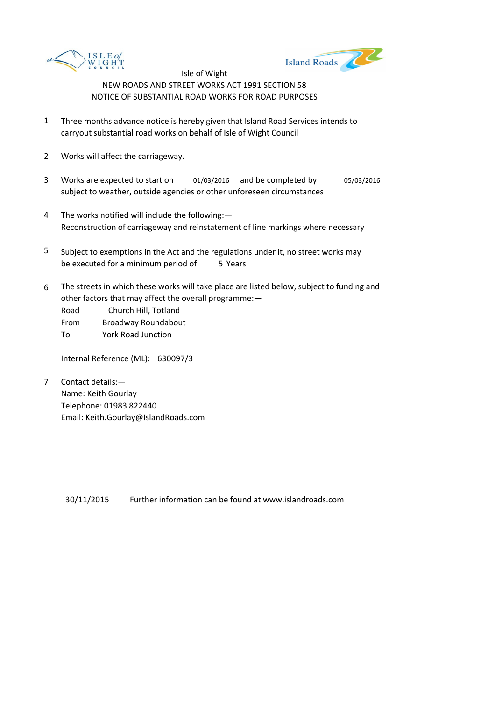



- 1 Three months advance notice is hereby given that Island Road Services intends to carryout substantial road works on behalf of Isle of Wight Council
- 2 Works will affect the carriageway.
- 3 Works are expected to start on 01/03/2016 and be completed by 05/03/2016 subject to weather, outside agencies or other unforeseen circumstances
- 4 The works notified will include the following:— Reconstruction of carriageway and reinstatement of line markings where necessary
- 5 be executed for a minimum period of 5 Years Subject to exemptions in the Act and the regulations under it, no street works may
- 6 The streets in which these works will take place are listed below, subject to funding and other factors that may affect the overall programme:—

Road Church Hill, Totland From Broadway Roundabout

To York Road Junction

Internal Reference (ML): 630097/3

7 Contact details:— Name: Keith Gourlay Telephone: 01983 822440 Email: Keith.Gourlay@IslandRoads.com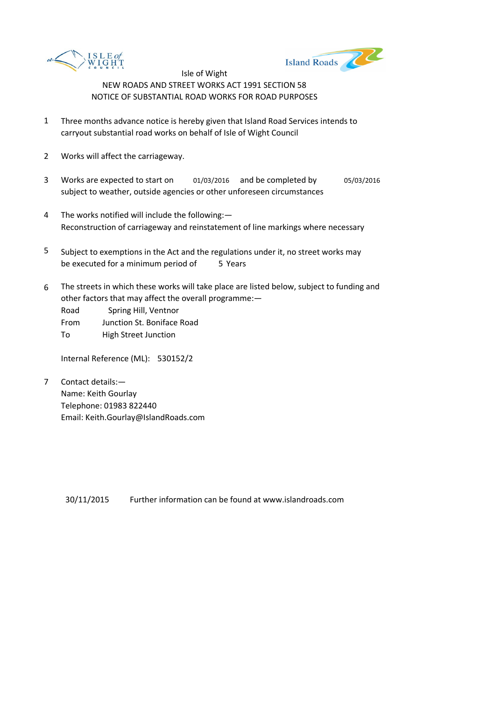



- 1 Three months advance notice is hereby given that Island Road Services intends to carryout substantial road works on behalf of Isle of Wight Council
- 2 Works will affect the carriageway.
- 3 Works are expected to start on 01/03/2016 and be completed by 05/03/2016 subject to weather, outside agencies or other unforeseen circumstances
- 4 The works notified will include the following:— Reconstruction of carriageway and reinstatement of line markings where necessary
- 5 be executed for a minimum period of 5 Years Subject to exemptions in the Act and the regulations under it, no street works may
- 6 The streets in which these works will take place are listed below, subject to funding and other factors that may affect the overall programme:—

Road Spring Hill, Ventnor

- From Junction St. Boniface Road
- To High Street Junction

Internal Reference (ML): 530152/2

7 Contact details:— Name: Keith Gourlay Telephone: 01983 822440 Email: Keith.Gourlay@IslandRoads.com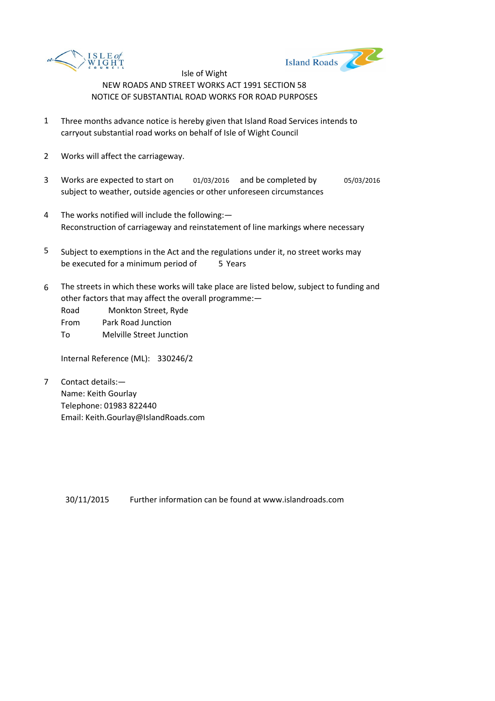



- 1 Three months advance notice is hereby given that Island Road Services intends to carryout substantial road works on behalf of Isle of Wight Council
- 2 Works will affect the carriageway.
- 3 Works are expected to start on 01/03/2016 and be completed by 05/03/2016 subject to weather, outside agencies or other unforeseen circumstances
- 4 The works notified will include the following:— Reconstruction of carriageway and reinstatement of line markings where necessary
- 5 be executed for a minimum period of 5 Years Subject to exemptions in the Act and the regulations under it, no street works may
- 6 The streets in which these works will take place are listed below, subject to funding and other factors that may affect the overall programme:—

Road Monkton Street, Ryde From Park Road Junction

To Melville Street Junction

Internal Reference (ML): 330246/2

7 Contact details:— Name: Keith Gourlay Telephone: 01983 822440 Email: Keith.Gourlay@IslandRoads.com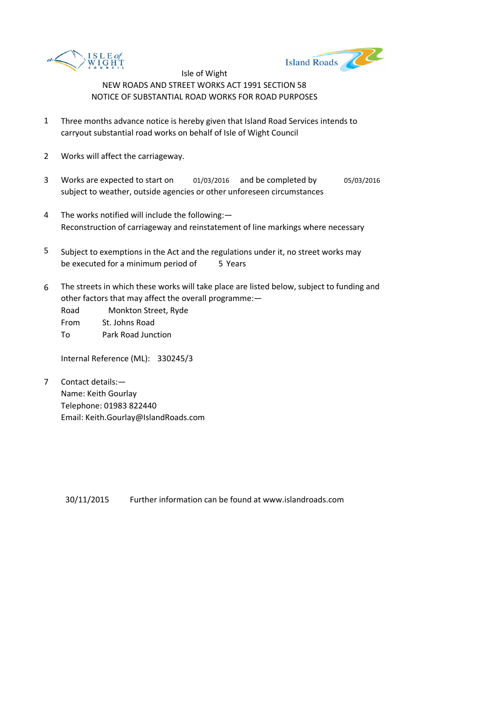



- 1 Three months advance notice is hereby given that Island Road Services intends to carryout substantial road works on behalf of Isle of Wight Council
- 2 Works will affect the carriageway.
- 3 Works are expected to start on 01/03/2016 and be completed by 05/03/2016 subject to weather, outside agencies or other unforeseen circumstances
- 4 The works notified will include the following:— Reconstruction of carriageway and reinstatement of line markings where necessary
- 5 be executed for a minimum period of 5 Years Subject to exemptions in the Act and the regulations under it, no street works may
- 6 The streets in which these works will take place are listed below, subject to funding and other factors that may affect the overall programme:—

Road Monkton Street, Ryde From St. Johns Road To Park Road Junction

Internal Reference (ML): 330245/3

7 Contact details:— Name: Keith Gourlay Telephone: 01983 822440 Email: Keith.Gourlay@IslandRoads.com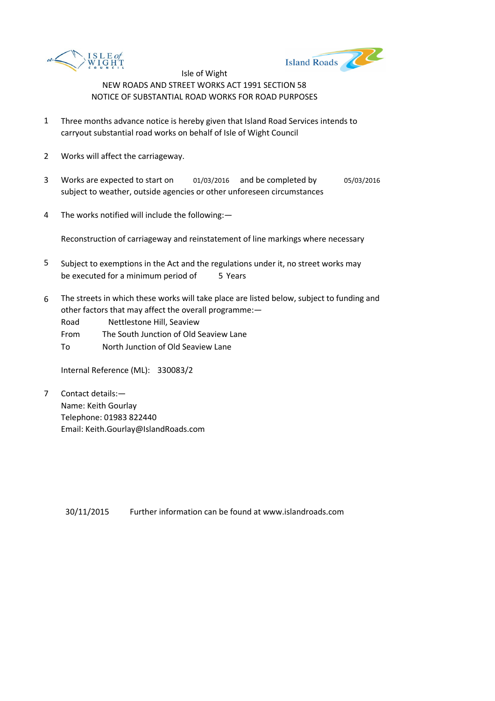



- 1 Three months advance notice is hereby given that Island Road Services intends to carryout substantial road works on behalf of Isle of Wight Council
- 2 Works will affect the carriageway.
- 3 Works are expected to start on 01/03/2016 and be completed by 05/03/2016 subject to weather, outside agencies or other unforeseen circumstances
- 4 The works notified will include the following:—

Reconstruction of carriageway and reinstatement of line markings where necessary

- 5 be executed for a minimum period of 5 Years Subject to exemptions in the Act and the regulations under it, no street works may
- 6 The streets in which these works will take place are listed below, subject to funding and other factors that may affect the overall programme:—

Road Nettlestone Hill, Seaview

From The South Junction of Old Seaview Lane

To North Junction of Old Seaview Lane

Internal Reference (ML): 330083/2

7 Contact details:— Name: Keith Gourlay Telephone: 01983 822440 Email: Keith.Gourlay@IslandRoads.com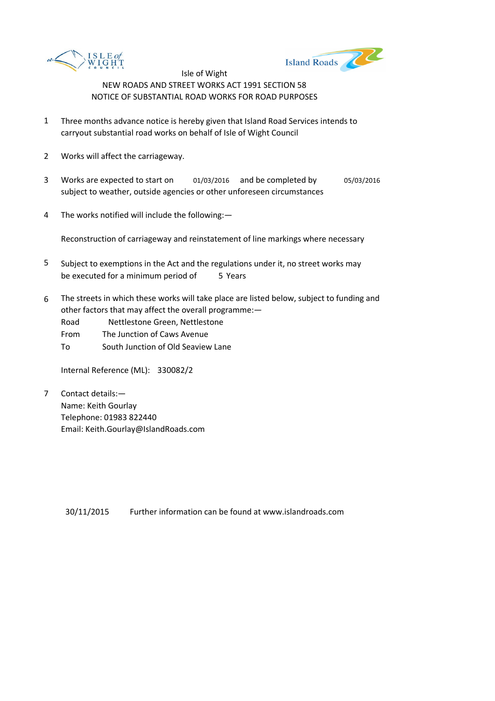



- 1 Three months advance notice is hereby given that Island Road Services intends to carryout substantial road works on behalf of Isle of Wight Council
- 2 Works will affect the carriageway.
- 3 Works are expected to start on 01/03/2016 and be completed by 05/03/2016 subject to weather, outside agencies or other unforeseen circumstances
- 4 The works notified will include the following:—

Reconstruction of carriageway and reinstatement of line markings where necessary

- 5 be executed for a minimum period of 5 Years Subject to exemptions in the Act and the regulations under it, no street works may
- 6 The streets in which these works will take place are listed below, subject to funding and other factors that may affect the overall programme:—
	- Road Nettlestone Green, Nettlestone
	- From The Junction of Caws Avenue
	- To South Junction of Old Seaview Lane

Internal Reference (ML): 330082/2

7 Contact details:— Name: Keith Gourlay Telephone: 01983 822440 Email: Keith.Gourlay@IslandRoads.com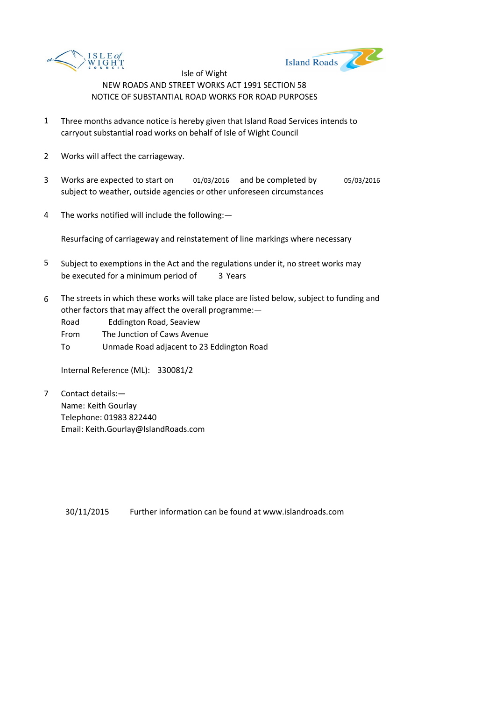



- 1 Three months advance notice is hereby given that Island Road Services intends to carryout substantial road works on behalf of Isle of Wight Council
- 2 Works will affect the carriageway.
- 3 Works are expected to start on 01/03/2016 and be completed by 05/03/2016 subject to weather, outside agencies or other unforeseen circumstances
- 4 The works notified will include the following:—

Resurfacing of carriageway and reinstatement of line markings where necessary

- 5 be executed for a minimum period of 3 Years Subject to exemptions in the Act and the regulations under it, no street works may
- 6 The streets in which these works will take place are listed below, subject to funding and other factors that may affect the overall programme:—
	- Road Eddington Road, Seaview
	- From The Junction of Caws Avenue
	- To Unmade Road adjacent to 23 Eddington Road

Internal Reference (ML): 330081/2

7 Contact details:— Name: Keith Gourlay Telephone: 01983 822440 Email: Keith.Gourlay@IslandRoads.com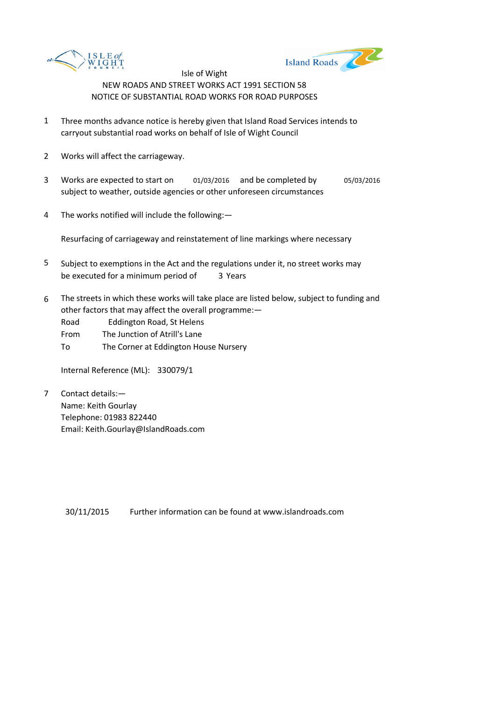



- 1 Three months advance notice is hereby given that Island Road Services intends to carryout substantial road works on behalf of Isle of Wight Council
- 2 Works will affect the carriageway.
- 3 Works are expected to start on 01/03/2016 and be completed by 05/03/2016 subject to weather, outside agencies or other unforeseen circumstances
- 4 The works notified will include the following:—

Resurfacing of carriageway and reinstatement of line markings where necessary

- 5 be executed for a minimum period of 3 Years Subject to exemptions in the Act and the regulations under it, no street works may
- 6 The streets in which these works will take place are listed below, subject to funding and other factors that may affect the overall programme:—
	- Road Eddington Road, St Helens
	- From The Junction of Atrill's Lane
	- To The Corner at Eddington House Nursery

Internal Reference (ML): 330079/1

7 Contact details:— Name: Keith Gourlay Telephone: 01983 822440 Email: Keith.Gourlay@IslandRoads.com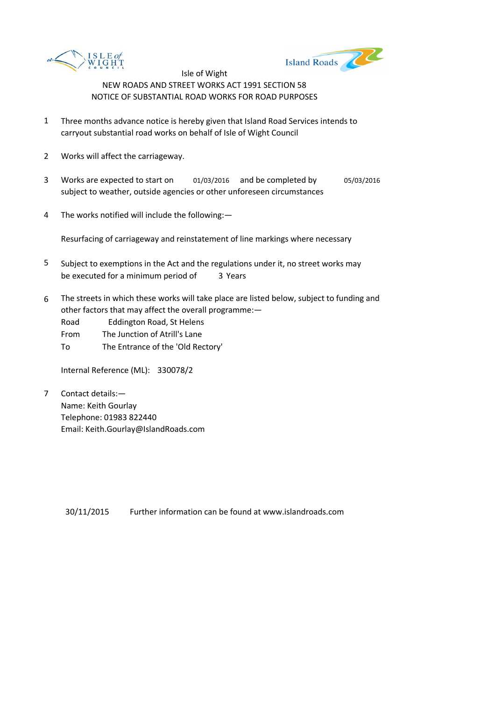



- 1 Three months advance notice is hereby given that Island Road Services intends to carryout substantial road works on behalf of Isle of Wight Council
- 2 Works will affect the carriageway.
- 3 Works are expected to start on 01/03/2016 and be completed by 05/03/2016 subject to weather, outside agencies or other unforeseen circumstances
- 4 The works notified will include the following:—

Resurfacing of carriageway and reinstatement of line markings where necessary

- 5 be executed for a minimum period of 3 Years Subject to exemptions in the Act and the regulations under it, no street works may
- 6 The streets in which these works will take place are listed below, subject to funding and other factors that may affect the overall programme:—
	- Road Eddington Road, St Helens
	- From The Junction of Atrill's Lane
	- To The Entrance of the 'Old Rectory'

Internal Reference (ML): 330078/2

7 Contact details:— Name: Keith Gourlay Telephone: 01983 822440 Email: Keith.Gourlay@IslandRoads.com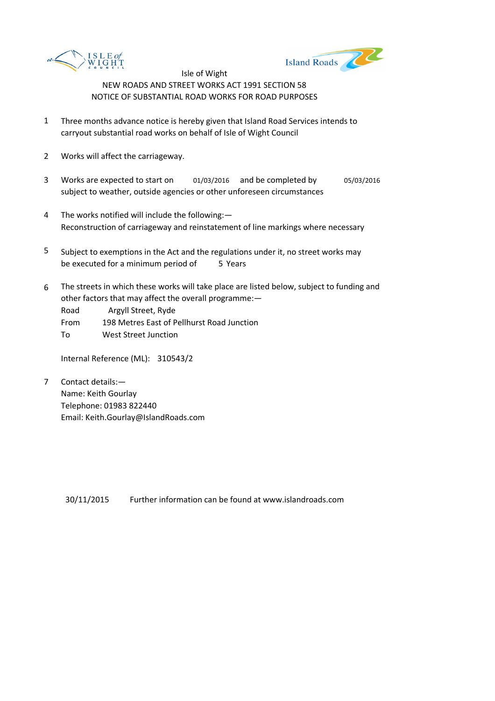



- 1 Three months advance notice is hereby given that Island Road Services intends to carryout substantial road works on behalf of Isle of Wight Council
- 2 Works will affect the carriageway.
- 3 Works are expected to start on 01/03/2016 and be completed by 05/03/2016 subject to weather, outside agencies or other unforeseen circumstances
- 4 The works notified will include the following:— Reconstruction of carriageway and reinstatement of line markings where necessary
- 5 be executed for a minimum period of 5 Years Subject to exemptions in the Act and the regulations under it, no street works may
- 6 The streets in which these works will take place are listed below, subject to funding and other factors that may affect the overall programme:—

Road Argyll Street, Ryde

- From 198 Metres East of Pellhurst Road Junction
- To West Street Junction

Internal Reference (ML): 310543/2

7 Contact details:— Name: Keith Gourlay Telephone: 01983 822440 Email: Keith.Gourlay@IslandRoads.com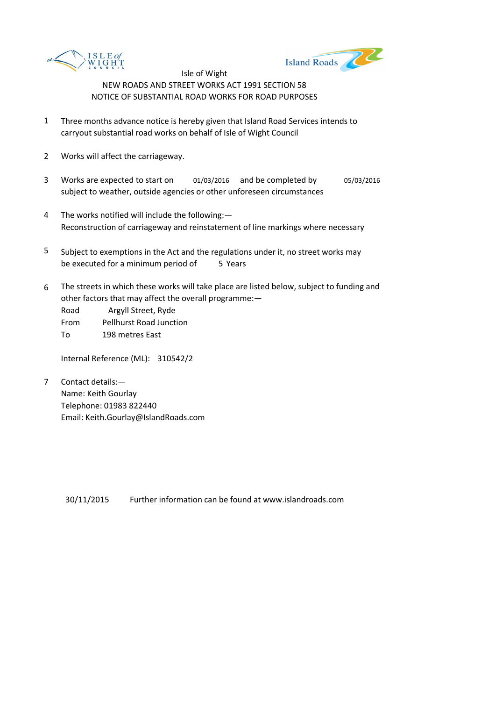



- 1 Three months advance notice is hereby given that Island Road Services intends to carryout substantial road works on behalf of Isle of Wight Council
- 2 Works will affect the carriageway.
- 3 Works are expected to start on 01/03/2016 and be completed by 05/03/2016 subject to weather, outside agencies or other unforeseen circumstances
- 4 The works notified will include the following:— Reconstruction of carriageway and reinstatement of line markings where necessary
- 5 be executed for a minimum period of 5 Years Subject to exemptions in the Act and the regulations under it, no street works may
- 6 The streets in which these works will take place are listed below, subject to funding and other factors that may affect the overall programme:—

Road Argyll Street, Ryde From Pellhurst Road Junction To 198 metres East

Internal Reference (ML): 310542/2

7 Contact details:— Name: Keith Gourlay Telephone: 01983 822440 Email: Keith.Gourlay@IslandRoads.com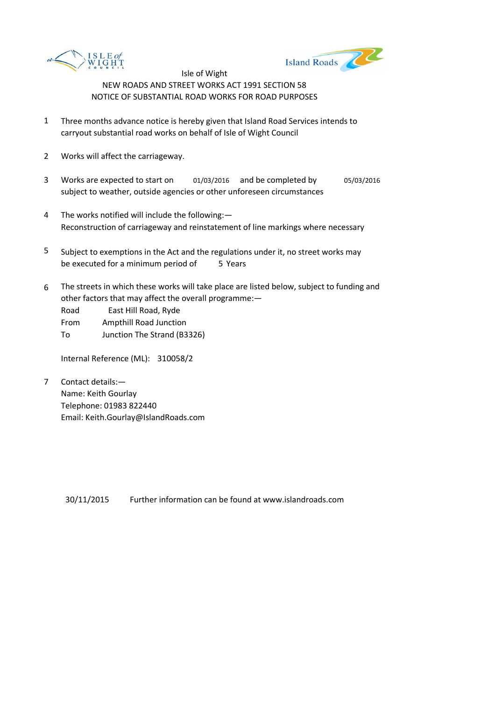



- 1 Three months advance notice is hereby given that Island Road Services intends to carryout substantial road works on behalf of Isle of Wight Council
- 2 Works will affect the carriageway.
- 3 Works are expected to start on 01/03/2016 and be completed by 05/03/2016 subject to weather, outside agencies or other unforeseen circumstances
- 4 The works notified will include the following:— Reconstruction of carriageway and reinstatement of line markings where necessary
- 5 be executed for a minimum period of 5 Years Subject to exemptions in the Act and the regulations under it, no street works may
- 6 The streets in which these works will take place are listed below, subject to funding and other factors that may affect the overall programme:—

Road East Hill Road, Ryde From Ampthill Road Junction To Junction The Strand (B3326)

Internal Reference (ML): 310058/2

7 Contact details:— Name: Keith Gourlay Telephone: 01983 822440 Email: Keith.Gourlay@IslandRoads.com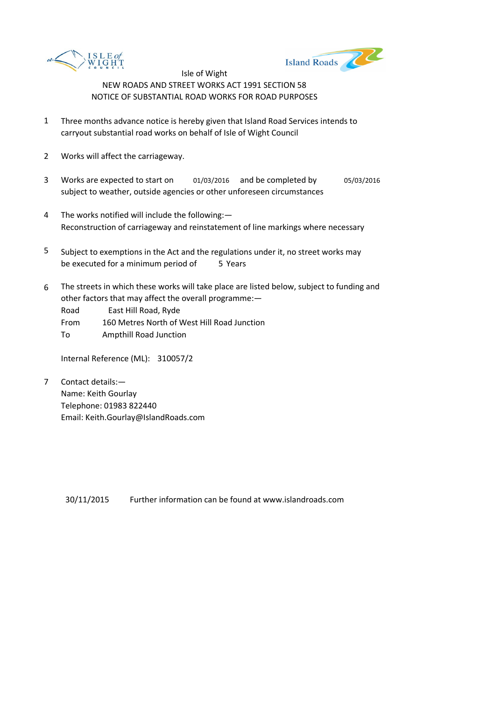



- 1 Three months advance notice is hereby given that Island Road Services intends to carryout substantial road works on behalf of Isle of Wight Council
- 2 Works will affect the carriageway.
- 3 Works are expected to start on 01/03/2016 and be completed by 05/03/2016 subject to weather, outside agencies or other unforeseen circumstances
- 4 The works notified will include the following:— Reconstruction of carriageway and reinstatement of line markings where necessary
- 5 be executed for a minimum period of 5 Years Subject to exemptions in the Act and the regulations under it, no street works may
- 6 The streets in which these works will take place are listed below, subject to funding and other factors that may affect the overall programme:—

Road East Hill Road, Ryde

- From 160 Metres North of West Hill Road Junction
- To Ampthill Road Junction

Internal Reference (ML): 310057/2

7 Contact details:— Name: Keith Gourlay Telephone: 01983 822440 Email: Keith.Gourlay@IslandRoads.com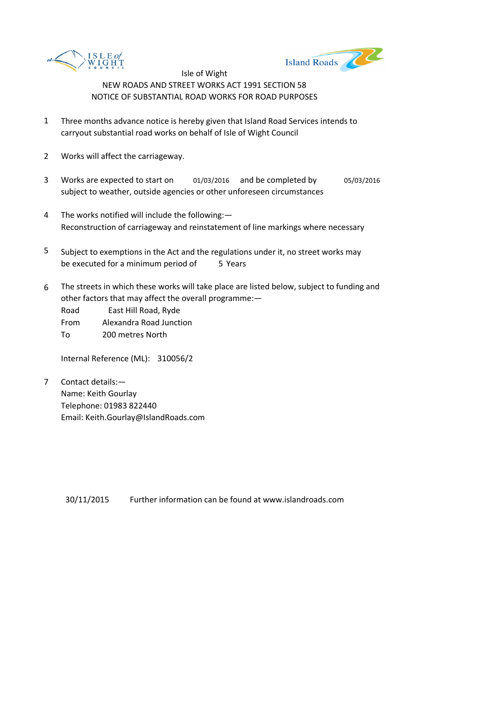



- 1 Three months advance notice is hereby given that Island Road Services intends to carryout substantial road works on behalf of Isle of Wight Council
- 2 Works will affect the carriageway.
- 3 Works are expected to start on 01/03/2016 and be completed by 05/03/2016 subject to weather, outside agencies or other unforeseen circumstances
- 4 The works notified will include the following:— Reconstruction of carriageway and reinstatement of line markings where necessary
- 5 be executed for a minimum period of 5 Years Subject to exemptions in the Act and the regulations under it, no street works may
- 6 The streets in which these works will take place are listed below, subject to funding and other factors that may affect the overall programme:—

Road East Hill Road, Ryde From Alexandra Road Junction To 200 metres North

Internal Reference (ML): 310056/2

7 Contact details:— Name: Keith Gourlay Telephone: 01983 822440 Email: Keith.Gourlay@IslandRoads.com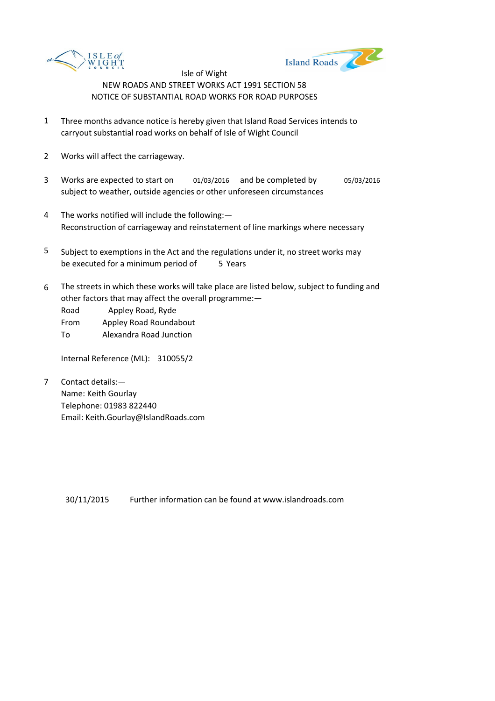



- 1 Three months advance notice is hereby given that Island Road Services intends to carryout substantial road works on behalf of Isle of Wight Council
- 2 Works will affect the carriageway.
- 3 Works are expected to start on 01/03/2016 and be completed by 05/03/2016 subject to weather, outside agencies or other unforeseen circumstances
- 4 The works notified will include the following:— Reconstruction of carriageway and reinstatement of line markings where necessary
- 5 be executed for a minimum period of 5 Years Subject to exemptions in the Act and the regulations under it, no street works may
- 6 The streets in which these works will take place are listed below, subject to funding and other factors that may affect the overall programme:—

Road Appley Road, Ryde

From Appley Road Roundabout

To Alexandra Road Junction

Internal Reference (ML): 310055/2

7 Contact details:— Name: Keith Gourlay Telephone: 01983 822440 Email: Keith.Gourlay@IslandRoads.com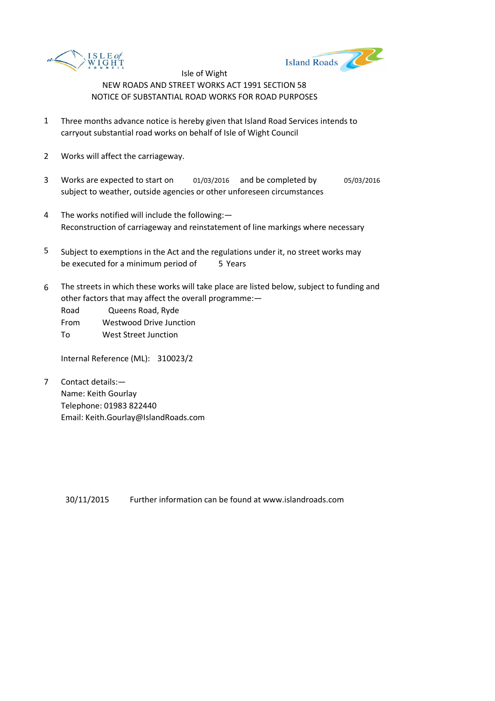



- 1 Three months advance notice is hereby given that Island Road Services intends to carryout substantial road works on behalf of Isle of Wight Council
- 2 Works will affect the carriageway.
- 3 Works are expected to start on 01/03/2016 and be completed by 05/03/2016 subject to weather, outside agencies or other unforeseen circumstances
- 4 The works notified will include the following:— Reconstruction of carriageway and reinstatement of line markings where necessary
- 5 be executed for a minimum period of 5 Years Subject to exemptions in the Act and the regulations under it, no street works may
- 6 The streets in which these works will take place are listed below, subject to funding and other factors that may affect the overall programme:—

Road Queens Road, Ryde

From Westwood Drive Junction

To West Street Junction

Internal Reference (ML): 310023/2

7 Contact details:— Name: Keith Gourlay Telephone: 01983 822440 Email: Keith.Gourlay@IslandRoads.com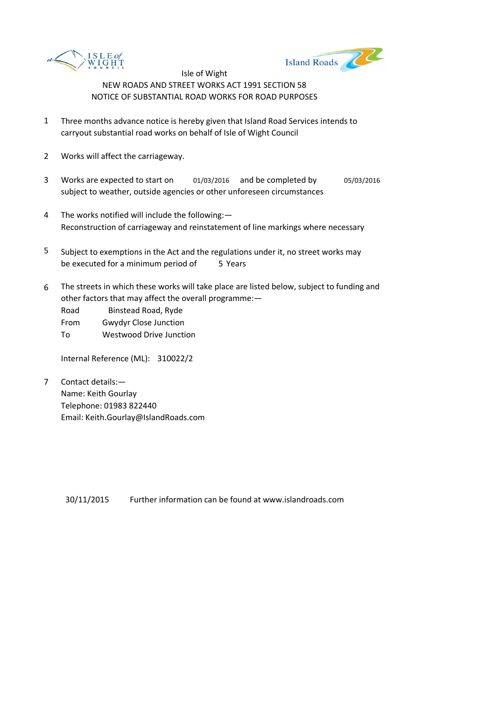



- 1 Three months advance notice is hereby given that Island Road Services intends to carryout substantial road works on behalf of Isle of Wight Council
- 2 Works will affect the carriageway.
- 3 Works are expected to start on 01/03/2016 and be completed by 05/03/2016 subject to weather, outside agencies or other unforeseen circumstances
- 4 The works notified will include the following:— Reconstruction of carriageway and reinstatement of line markings where necessary
- 5 be executed for a minimum period of 5 Years Subject to exemptions in the Act and the regulations under it, no street works may
- 6 The streets in which these works will take place are listed below, subject to funding and other factors that may affect the overall programme:—

Road Binstead Road, Ryde From Gwydyr Close Junction

To Westwood Drive Junction

Internal Reference (ML): 310022/2

7 Contact details:— Name: Keith Gourlay Telephone: 01983 822440 Email: Keith.Gourlay@IslandRoads.com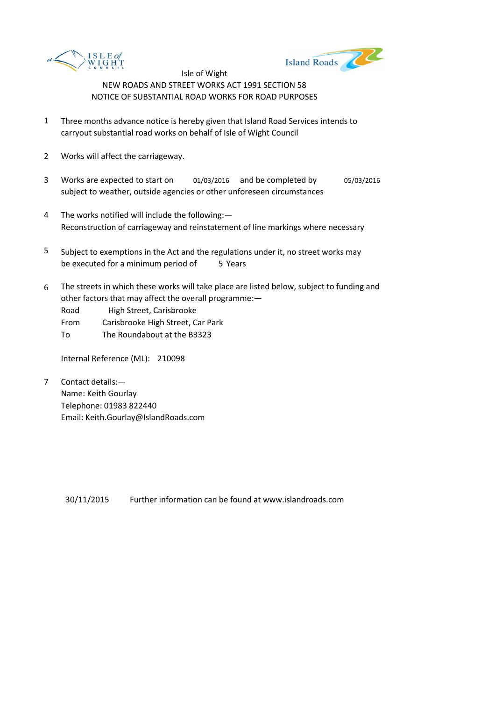



- 1 Three months advance notice is hereby given that Island Road Services intends to carryout substantial road works on behalf of Isle of Wight Council
- 2 Works will affect the carriageway.
- 3 Works are expected to start on 01/03/2016 and be completed by 05/03/2016 subject to weather, outside agencies or other unforeseen circumstances
- 4 The works notified will include the following:— Reconstruction of carriageway and reinstatement of line markings where necessary
- 5 be executed for a minimum period of 5 Years Subject to exemptions in the Act and the regulations under it, no street works may
- 6 The streets in which these works will take place are listed below, subject to funding and other factors that may affect the overall programme:—

Road High Street, Carisbrooke

From Carisbrooke High Street, Car Park

To The Roundabout at the B3323

Internal Reference (ML): 210098

7 Contact details:— Name: Keith Gourlay Telephone: 01983 822440 Email: Keith.Gourlay@IslandRoads.com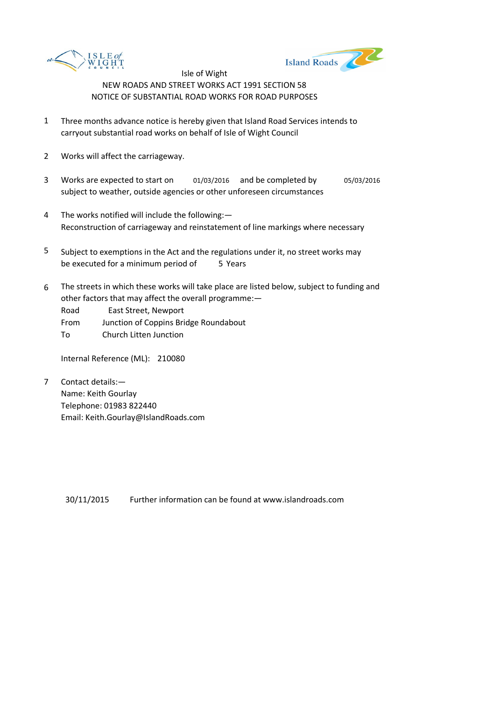



- 1 Three months advance notice is hereby given that Island Road Services intends to carryout substantial road works on behalf of Isle of Wight Council
- 2 Works will affect the carriageway.
- 3 Works are expected to start on 01/03/2016 and be completed by 05/03/2016 subject to weather, outside agencies or other unforeseen circumstances
- 4 The works notified will include the following:— Reconstruction of carriageway and reinstatement of line markings where necessary
- 5 be executed for a minimum period of 5 Years Subject to exemptions in the Act and the regulations under it, no street works may
- 6 The streets in which these works will take place are listed below, subject to funding and other factors that may affect the overall programme:—

Road East Street, Newport

- From Junction of Coppins Bridge Roundabout
- To Church Litten Junction

Internal Reference (ML): 210080

7 Contact details:— Name: Keith Gourlay Telephone: 01983 822440 Email: Keith.Gourlay@IslandRoads.com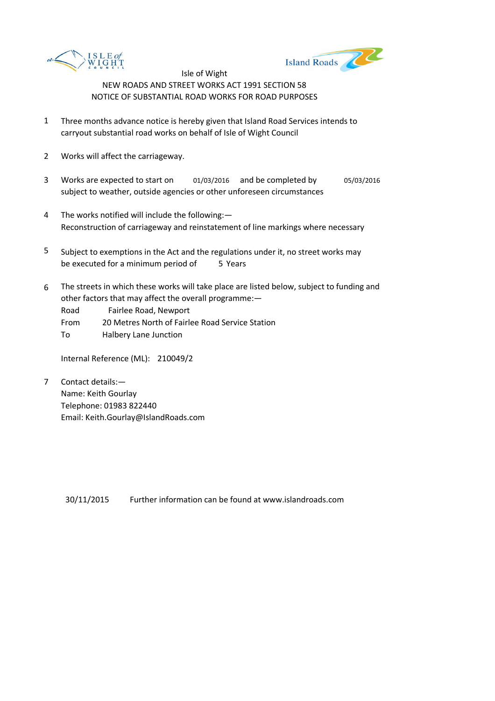



- 1 Three months advance notice is hereby given that Island Road Services intends to carryout substantial road works on behalf of Isle of Wight Council
- 2 Works will affect the carriageway.
- 3 Works are expected to start on 01/03/2016 and be completed by 05/03/2016 subject to weather, outside agencies or other unforeseen circumstances
- 4 The works notified will include the following:— Reconstruction of carriageway and reinstatement of line markings where necessary
- 5 be executed for a minimum period of 5 Years Subject to exemptions in the Act and the regulations under it, no street works may
- 6 The streets in which these works will take place are listed below, subject to funding and other factors that may affect the overall programme:—

Road Fairlee Road, Newport

- From 20 Metres North of Fairlee Road Service Station
- To Halbery Lane Junction

Internal Reference (ML): 210049/2

7 Contact details:— Name: Keith Gourlay Telephone: 01983 822440 Email: Keith.Gourlay@IslandRoads.com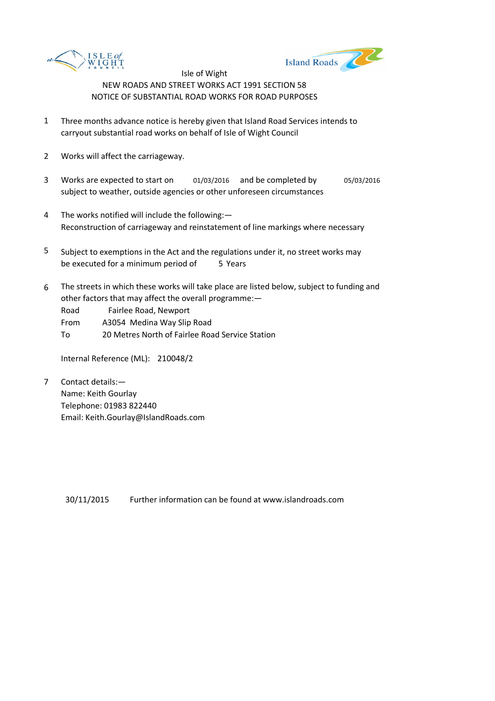



- 1 Three months advance notice is hereby given that Island Road Services intends to carryout substantial road works on behalf of Isle of Wight Council
- 2 Works will affect the carriageway.
- 3 Works are expected to start on 01/03/2016 and be completed by 05/03/2016 subject to weather, outside agencies or other unforeseen circumstances
- 4 The works notified will include the following:— Reconstruction of carriageway and reinstatement of line markings where necessary
- 5 be executed for a minimum period of 5 Years Subject to exemptions in the Act and the regulations under it, no street works may
- 6 The streets in which these works will take place are listed below, subject to funding and other factors that may affect the overall programme:—

Road Fairlee Road, Newport

From A3054 Medina Way Slip Road

To 20 Metres North of Fairlee Road Service Station

Internal Reference (ML): 210048/2

7 Contact details:— Name: Keith Gourlay Telephone: 01983 822440 Email: Keith.Gourlay@IslandRoads.com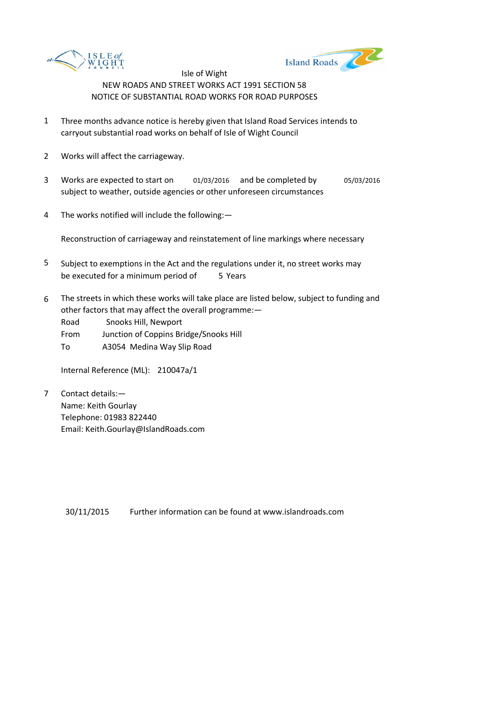



- 1 Three months advance notice is hereby given that Island Road Services intends to carryout substantial road works on behalf of Isle of Wight Council
- 2 Works will affect the carriageway.
- 3 Works are expected to start on 01/03/2016 and be completed by 05/03/2016 subject to weather, outside agencies or other unforeseen circumstances
- 4 The works notified will include the following:—

Reconstruction of carriageway and reinstatement of line markings where necessary

- 5 be executed for a minimum period of 5 Years Subject to exemptions in the Act and the regulations under it, no street works may
- 6 The streets in which these works will take place are listed below, subject to funding and other factors that may affect the overall programme:—

Road Snooks Hill, Newport

From Junction of Coppins Bridge/Snooks Hill

To A3054 Medina Way Slip Road

Internal Reference (ML): 210047a/1

7 Contact details:— Name: Keith Gourlay Telephone: 01983 822440 Email: Keith.Gourlay@IslandRoads.com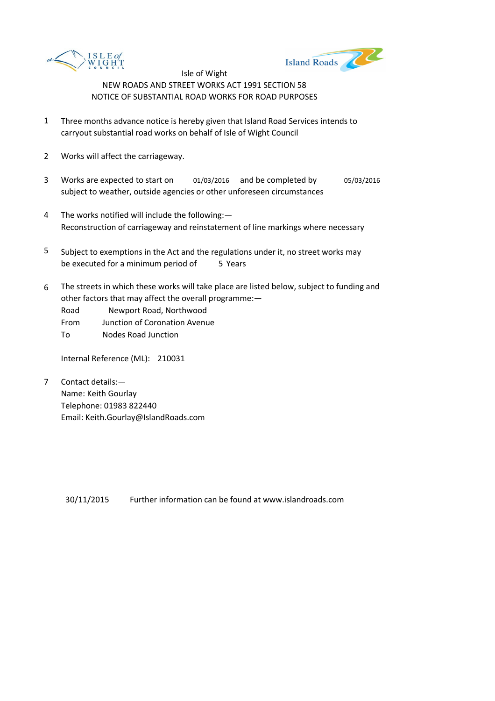



- 1 Three months advance notice is hereby given that Island Road Services intends to carryout substantial road works on behalf of Isle of Wight Council
- 2 Works will affect the carriageway.
- 3 Works are expected to start on 01/03/2016 and be completed by 05/03/2016 subject to weather, outside agencies or other unforeseen circumstances
- 4 The works notified will include the following:— Reconstruction of carriageway and reinstatement of line markings where necessary
- 5 be executed for a minimum period of 5 Years Subject to exemptions in the Act and the regulations under it, no street works may
- 6 The streets in which these works will take place are listed below, subject to funding and other factors that may affect the overall programme:—

Road Newport Road, Northwood

- From Junction of Coronation Avenue
- To Nodes Road Junction

Internal Reference (ML): 210031

7 Contact details:— Name: Keith Gourlay Telephone: 01983 822440 Email: Keith.Gourlay@IslandRoads.com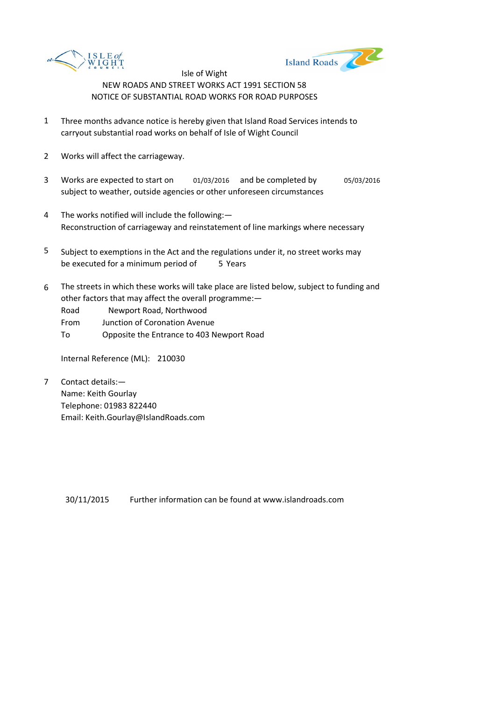



- 1 Three months advance notice is hereby given that Island Road Services intends to carryout substantial road works on behalf of Isle of Wight Council
- 2 Works will affect the carriageway.
- 3 Works are expected to start on 01/03/2016 and be completed by 05/03/2016 subject to weather, outside agencies or other unforeseen circumstances
- 4 The works notified will include the following:— Reconstruction of carriageway and reinstatement of line markings where necessary
- 5 be executed for a minimum period of 5 Years Subject to exemptions in the Act and the regulations under it, no street works may
- 6 The streets in which these works will take place are listed below, subject to funding and other factors that may affect the overall programme:—
	- Road Newport Road, Northwood
	- From Junction of Coronation Avenue
	- To Opposite the Entrance to 403 Newport Road

Internal Reference (ML): 210030

7 Contact details:— Name: Keith Gourlay Telephone: 01983 822440 Email: Keith.Gourlay@IslandRoads.com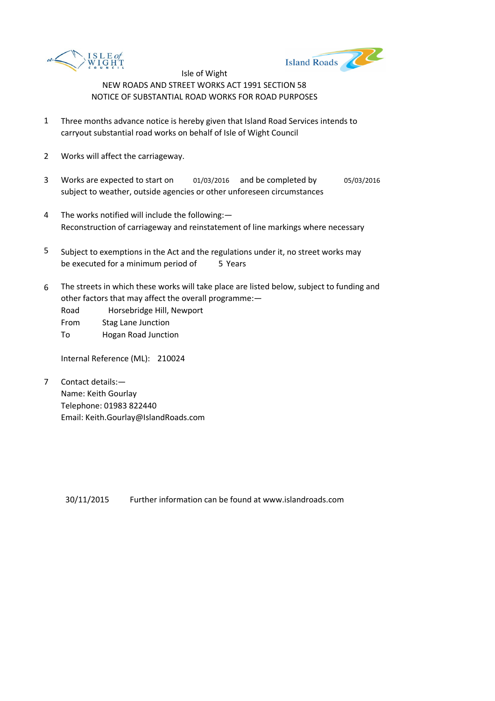



- 1 Three months advance notice is hereby given that Island Road Services intends to carryout substantial road works on behalf of Isle of Wight Council
- 2 Works will affect the carriageway.
- 3 Works are expected to start on 01/03/2016 and be completed by 05/03/2016 subject to weather, outside agencies or other unforeseen circumstances
- 4 The works notified will include the following:— Reconstruction of carriageway and reinstatement of line markings where necessary
- 5 be executed for a minimum period of 5 Years Subject to exemptions in the Act and the regulations under it, no street works may
- 6 The streets in which these works will take place are listed below, subject to funding and other factors that may affect the overall programme:—
	- Road Horsebridge Hill, Newport
	- From Stag Lane Junction
	- To Hogan Road Junction

Internal Reference (ML): 210024

7 Contact details:— Name: Keith Gourlay Telephone: 01983 822440 Email: Keith.Gourlay@IslandRoads.com